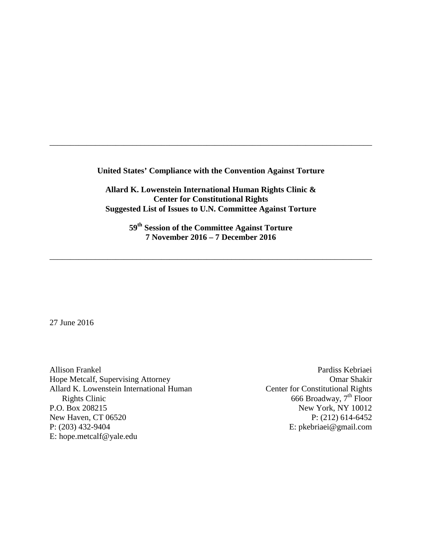**United States' Compliance with the Convention Against Torture**

\_\_\_\_\_\_\_\_\_\_\_\_\_\_\_\_\_\_\_\_\_\_\_\_\_\_\_\_\_\_\_\_\_\_\_\_\_\_\_\_\_\_\_\_\_\_\_\_\_\_\_\_\_\_\_\_\_\_\_\_\_\_\_\_\_\_\_\_\_\_\_\_\_\_\_\_\_\_

**Allard K. Lowenstein International Human Rights Clinic & Center for Constitutional Rights Suggested List of Issues to U.N. Committee Against Torture**

> **59th Session of the Committee Against Torture 7 November 2016 – 7 December 2016**

\_\_\_\_\_\_\_\_\_\_\_\_\_\_\_\_\_\_\_\_\_\_\_\_\_\_\_\_\_\_\_\_\_\_\_\_\_\_\_\_\_\_\_\_\_\_\_\_\_\_\_\_\_\_\_\_\_\_\_\_\_\_\_\_\_\_\_\_\_\_\_\_\_\_\_\_\_\_

27 June 2016

Allison Frankel Hope Metcalf, Supervising Attorney Allard K. Lowenstein International Human Rights Clinic P.O. Box 208215 New Haven, CT 06520 P: (203) 432-9404 E: hope.metcalf@yale.edu

Pardiss Kebriaei Omar Shakir Center for Constitutional Rights 666 Broadway,  $7<sup>th</sup>$  Floor New York, NY 10012 P: (212) 614-6452 E: pkebriaei@gmail.com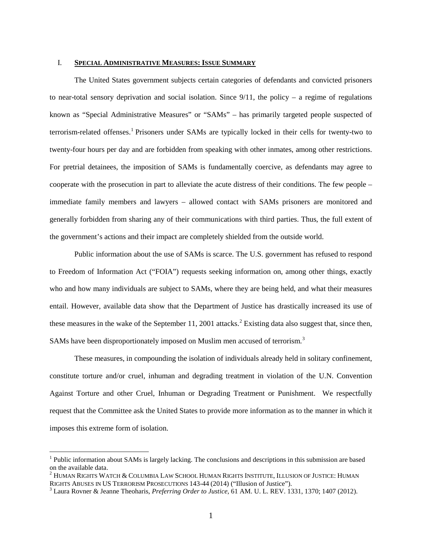## I. **SPECIAL ADMINISTRATIVE MEASURES: ISSUE SUMMARY**

The United States government subjects certain categories of defendants and convicted prisoners to near-total sensory deprivation and social isolation. Since  $9/11$ , the policy – a regime of regulations known as "Special Administrative Measures" or "SAMs" – has primarily targeted people suspected of terrorism-related offenses.[1](#page-1-0) Prisoners under SAMs are typically locked in their cells for twenty-two to twenty-four hours per day and are forbidden from speaking with other inmates, among other restrictions. For pretrial detainees, the imposition of SAMs is fundamentally coercive, as defendants may agree to cooperate with the prosecution in part to alleviate the acute distress of their conditions. The few people – immediate family members and lawyers – allowed contact with SAMs prisoners are monitored and generally forbidden from sharing any of their communications with third parties. Thus, the full extent of the government's actions and their impact are completely shielded from the outside world.

Public information about the use of SAMs is scarce. The U.S. government has refused to respond to Freedom of Information Act ("FOIA") requests seeking information on, among other things, exactly who and how many individuals are subject to SAMs, where they are being held, and what their measures entail. However, available data show that the Department of Justice has drastically increased its use of these measures in the wake of the September 11, [2](#page-1-1)001 attacks.<sup>2</sup> Existing data also suggest that, since then, SAMs have been disproportionately imposed on Muslim men accused of terrorism.<sup>[3](#page-1-2)</sup>

These measures, in compounding the isolation of individuals already held in solitary confinement, constitute torture and/or cruel, inhuman and degrading treatment in violation of the U.N. Convention Against Torture and other Cruel, Inhuman or Degrading Treatment or Punishment. We respectfully request that the Committee ask the United States to provide more information as to the manner in which it imposes this extreme form of isolation.

<span id="page-1-0"></span><sup>&</sup>lt;sup>1</sup> Public information about SAMs is largely lacking. The conclusions and descriptions in this submission are based on the available data.

<span id="page-1-1"></span> $^2$  Human Rights Watch & Columbia Law School Human Rights Institute, Illusion of Justice: Human<br>Rights Abuses in US Terrorism Prosecutions 143-44 (2014) ("Illusion of Justice").

<span id="page-1-2"></span><sup>&</sup>lt;sup>3</sup> Laura Rovner & Jeanne Theoharis, *Preferring Order to Justice*, 61 AM. U. L. REV. 1331, 1370; 1407 (2012).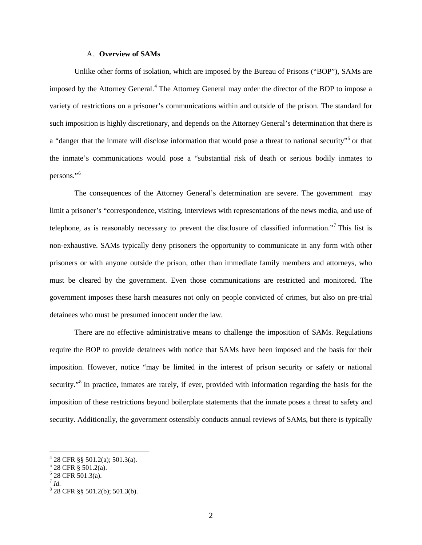#### A. **Overview of SAMs**

Unlike other forms of isolation, which are imposed by the Bureau of Prisons ("BOP"), SAMs are imposed by the Attorney General.<sup>[4](#page-2-0)</sup> The Attorney General may order the director of the BOP to impose a variety of restrictions on a prisoner's communications within and outside of the prison. The standard for such imposition is highly discretionary, and depends on the Attorney General's determination that there is a "danger that the inmate will disclose information that would pose a threat to national security"<sup>[5](#page-2-1)</sup> or that the inmate's communications would pose a "substantial risk of death or serious bodily inmates to persons."[6](#page-2-2)

The consequences of the Attorney General's determination are severe. The government may limit a prisoner's "correspondence, visiting, interviews with representations of the news media, and use of telephone, as is reasonably necessary to prevent the disclosure of classified information."[7](#page-2-3) This list is non-exhaustive. SAMs typically deny prisoners the opportunity to communicate in any form with other prisoners or with anyone outside the prison, other than immediate family members and attorneys, who must be cleared by the government. Even those communications are restricted and monitored. The government imposes these harsh measures not only on people convicted of crimes, but also on pre-trial detainees who must be presumed innocent under the law.

There are no effective administrative means to challenge the imposition of SAMs. Regulations require the BOP to provide detainees with notice that SAMs have been imposed and the basis for their imposition. However, notice "may be limited in the interest of prison security or safety or national security."<sup>[8](#page-2-4)</sup> In practice, inmates are rarely, if ever, provided with information regarding the basis for the imposition of these restrictions beyond boilerplate statements that the inmate poses a threat to safety and security. Additionally, the government ostensibly conducts annual reviews of SAMs, but there is typically

<span id="page-2-0"></span><sup>4</sup> 28 CFR §§ 501.2(a); 501.3(a).

<span id="page-2-1"></span> $5$  28 CFR § 501.2(a).

 $6$  28 CFR 501.3(a).

<span id="page-2-3"></span><span id="page-2-2"></span><sup>7</sup> *Id.*

<span id="page-2-4"></span> $828$  CFR §§ 501.2(b); 501.3(b).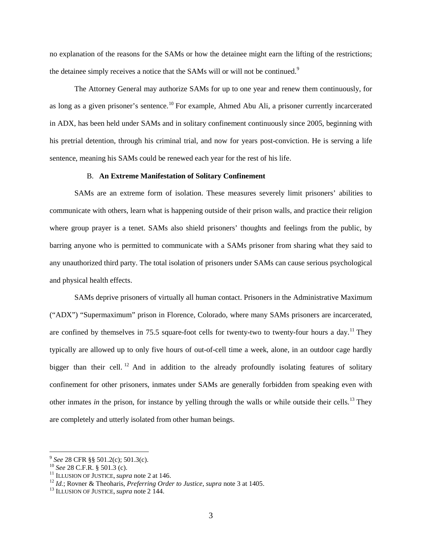no explanation of the reasons for the SAMs or how the detainee might earn the lifting of the restrictions; the detainee simply receives a notice that the SAMs will or will not be continued.<sup>[9](#page-3-0)</sup>

The Attorney General may authorize SAMs for up to one year and renew them continuously, for as long as a given prisoner's sentence.<sup>[10](#page-3-1)</sup> For example, Ahmed Abu Ali, a prisoner currently incarcerated in ADX, has been held under SAMs and in solitary confinement continuously since 2005, beginning with his pretrial detention, through his criminal trial, and now for years post-conviction. He is serving a life sentence, meaning his SAMs could be renewed each year for the rest of his life.

### B. **An Extreme Manifestation of Solitary Confinement**

SAMs are an extreme form of isolation. These measures severely limit prisoners' abilities to communicate with others, learn what is happening outside of their prison walls, and practice their religion where group prayer is a tenet. SAMs also shield prisoners' thoughts and feelings from the public, by barring anyone who is permitted to communicate with a SAMs prisoner from sharing what they said to any unauthorized third party. The total isolation of prisoners under SAMs can cause serious psychological and physical health effects.

SAMs deprive prisoners of virtually all human contact. Prisoners in the Administrative Maximum ("ADX") "Supermaximum" prison in Florence, Colorado, where many SAMs prisoners are incarcerated, are confined by themselves in 75.5 square-foot cells for twenty-two to twenty-four hours a day.<sup>[11](#page-3-2)</sup> They typically are allowed up to only five hours of out-of-cell time a week, alone, in an outdoor cage hardly bigger than their cell.<sup>[12](#page-3-3)</sup> And in addition to the already profoundly isolating features of solitary confinement for other prisoners, inmates under SAMs are generally forbidden from speaking even with other inmates *in* the prison, for instance by yelling through the walls or while outside their cells. [13](#page-3-4) They are completely and utterly isolated from other human beings.

<span id="page-3-0"></span><sup>&</sup>lt;sup>9</sup> See 28 CFR §§ 501.2(c); 501.3(c).

<span id="page-3-3"></span><span id="page-3-2"></span>

<span id="page-3-1"></span><sup>&</sup>lt;sup>10</sup> See 28 C.F.R. § 501.3 (c).<br><sup>11</sup> ILLUSION OF JUSTICE, *supra* note 2 at 146.<br><sup>12</sup> Id.; Rovner & Theoharis, *Preferring Order to Justice*, *supra* note 3 at 1405.<br><sup>13</sup> ILLUSION OF JUSTICE, *supra* note 2 144.

<span id="page-3-4"></span>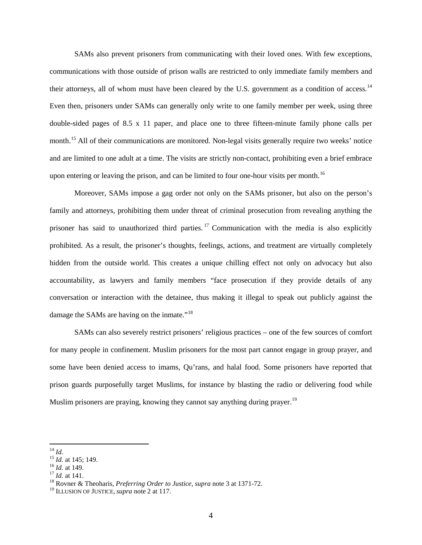SAMs also prevent prisoners from communicating with their loved ones. With few exceptions, communications with those outside of prison walls are restricted to only immediate family members and their attorneys, all of whom must have been cleared by the U.S. government as a condition of access.<sup>[14](#page-4-0)</sup> Even then, prisoners under SAMs can generally only write to one family member per week, using three double-sided pages of 8.5 x 11 paper, and place one to three fifteen-minute family phone calls per month.<sup>[15](#page-4-1)</sup> All of their communications are monitored. Non-legal visits generally require two weeks' notice and are limited to one adult at a time. The visits are strictly non-contact, prohibiting even a brief embrace upon entering or leaving the prison, and can be limited to four one-hour visits per month.<sup>[16](#page-4-2)</sup>

Moreover, SAMs impose a gag order not only on the SAMs prisoner, but also on the person's family and attorneys, prohibiting them under threat of criminal prosecution from revealing anything the prisoner has said to unauthorized third parties.<sup>[17](#page-4-3)</sup> Communication with the media is also explicitly prohibited. As a result, the prisoner's thoughts, feelings, actions, and treatment are virtually completely hidden from the outside world. This creates a unique chilling effect not only on advocacy but also accountability, as lawyers and family members "face prosecution if they provide details of any conversation or interaction with the detainee, thus making it illegal to speak out publicly against the damage the SAMs are having on the inmate."<sup>[18](#page-4-4)</sup>

SAMs can also severely restrict prisoners' religious practices – one of the few sources of comfort for many people in confinement. Muslim prisoners for the most part cannot engage in group prayer, and some have been denied access to imams, Qu'rans, and halal food. Some prisoners have reported that prison guards purposefully target Muslims, for instance by blasting the radio or delivering food while Muslim prisoners are praying, knowing they cannot say anything during prayer.<sup>[19](#page-4-5)</sup>

<span id="page-4-0"></span> $^{14}$  Id.

<span id="page-4-2"></span>

<span id="page-4-4"></span><span id="page-4-3"></span>

<span id="page-4-1"></span><sup>&</sup>lt;sup>15</sup> *Id.* at 145; 149.<br><sup>16</sup> *Id.* at 149.<br><sup>17</sup> *Id.* at 141.<br><sup>18</sup> Rovner & Theoharis, *Preferring Order to Justice*, *supra* note 3 at 1371-72.

<span id="page-4-5"></span><sup>19</sup> ILLUSION OF JUSTICE, *supra* note 2 at 117.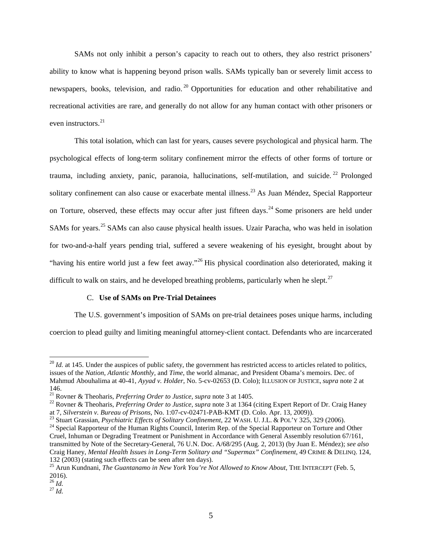SAMs not only inhibit a person's capacity to reach out to others, they also restrict prisoners' ability to know what is happening beyond prison walls. SAMs typically ban or severely limit access to newspapers, books, television, and radio.<sup>[20](#page-5-0)</sup> Opportunities for education and other rehabilitative and recreational activities are rare, and generally do not allow for any human contact with other prisoners or even instructors.<sup>[21](#page-5-1)</sup>

This total isolation, which can last for years, causes severe psychological and physical harm. The psychological effects of long-term solitary confinement mirror the effects of other forms of torture or trauma, including anxiety, panic, paranoia, hallucinations, self-mutilation, and suicide.<sup>[22](#page-5-2)</sup> Prolonged solitary confinement can also cause or exacerbate mental illness.<sup>[23](#page-5-3)</sup> As Juan Méndez, Special Rapporteur on Torture, observed, these effects may occur after just fifteen days.<sup>[24](#page-5-4)</sup> Some prisoners are held under SAMs for years.<sup>[25](#page-5-5)</sup> SAMs can also cause physical health issues. Uzair Paracha, who was held in isolation for two-and-a-half years pending trial, suffered a severe weakening of his eyesight, brought about by "having his entire world just a few feet away."[26](#page-5-6) His physical coordination also deteriorated, making it difficult to walk on stairs, and he developed breathing problems, particularly when he slept. $27$ 

## C. **Use of SAMs on Pre-Trial Detainees**

The U.S. government's imposition of SAMs on pre-trial detainees poses unique harms, including coercion to plead guilty and limiting meaningful attorney-client contact. Defendants who are incarcerated

<span id="page-5-0"></span> $^{20}$  *Id.* at 145. Under the auspices of public safety, the government has restricted access to articles related to politics, issues of the *Nation*, *Atlantic Monthly,* and *Time*, the world almanac, and President Obama's memoirs. Dec. of Mahmud Abouhalima at 40-41, *Ayyad v. Holder*, No. 5-cv-02653 (D. Colo); ILLUSION OF JUSTICE, *supra* note 2 at

<span id="page-5-1"></span><sup>146.&</sup>lt;br><sup>21</sup> Rovner & Theoharis, *Preferring Order to Justice*, *supra* note 3 at 1405.

<span id="page-5-2"></span><sup>&</sup>lt;sup>22</sup> Rovner & Theoharis, *Preferring Order to Justice*, *supra* note 3 at 1364 (citing Expert Report of Dr. Craig Haney at 7, *Silverstein v. Bureau of Prisons*, No. 1:07-cv-02471-PAB-KMT (D. Colo. Apr. 13, 2009)).

<span id="page-5-4"></span><span id="page-5-3"></span><sup>&</sup>lt;sup>23</sup> Stuart Grassian, *Psychiatric Effects of Solitary Confinement*, 22 WASH. U. J.L. & POL'Y 325, 329 (2006).<br><sup>24</sup> Special Rapporteur of the Human Rights Council, Interim Rep. of the Special Rapporteur on Torture and Oth Cruel, Inhuman or Degrading Treatment or Punishment in Accordance with General Assembly resolution 67/161, transmitted by Note of the Secretary-General, 76 U.N. Doc. A/68/295 (Aug. 2, 2013) (by Juan E. Méndez); *see also* Craig Haney, *Mental Health Issues in Long-Term Solitary and "Supermax" Confinement*, 49 CRIME & DELINQ. 124, 132 (2003) (stating such effects can be seen after ten days).

<span id="page-5-5"></span><sup>&</sup>lt;sup>25</sup> Arun Kundnani, *The Guantanamo in New York You're Not Allowed to Know About*, THE INTERCEPT (Feb. 5,  $^{2016)}$ .<br> $^{26}$  *Id.* 

<span id="page-5-7"></span><span id="page-5-6"></span> $^{27}$  *Id.*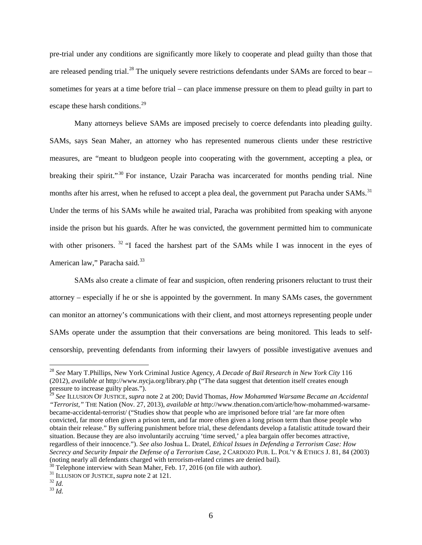pre-trial under any conditions are significantly more likely to cooperate and plead guilty than those that are released pending trial.<sup>[28](#page-6-0)</sup> The uniquely severe restrictions defendants under SAMs are forced to bear – sometimes for years at a time before trial – can place immense pressure on them to plead guilty in part to escape these harsh conditions.<sup>[29](#page-6-1)</sup>

Many attorneys believe SAMs are imposed precisely to coerce defendants into pleading guilty. SAMs, says Sean Maher, an attorney who has represented numerous clients under these restrictive measures, are "meant to bludgeon people into cooperating with the government, accepting a plea, or breaking their spirit."<sup>[30](#page-6-2)</sup> For instance, Uzair Paracha was incarcerated for months pending trial. Nine months after his arrest, when he refused to accept a plea deal, the government put Paracha under SAMs.<sup>[31](#page-6-3)</sup> Under the terms of his SAMs while he awaited trial, Paracha was prohibited from speaking with anyone inside the prison but his guards. After he was convicted, the government permitted him to communicate with other prisoners. <sup>[32](#page-6-4)</sup> "I faced the harshest part of the SAMs while I was innocent in the eyes of American law," Paracha said.<sup>[33](#page-6-5)</sup>

SAMs also create a climate of fear and suspicion, often rendering prisoners reluctant to trust their attorney – especially if he or she is appointed by the government. In many SAMs cases, the government can monitor an attorney's communications with their client, and most attorneys representing people under SAMs operate under the assumption that their conversations are being monitored. This leads to selfcensorship, preventing defendants from informing their lawyers of possible investigative avenues and

<span id="page-6-1"></span><sup>29</sup> *See* ILLUSION OF JUSTICE, *supra* note 2 at 200; David Thomas, *How Mohammed Warsame Became an Accidental "Terrorist*,*"* THE Nation (Nov. 27, 2013), *available at* [http://www.thenation.com/article/how-mohammed-warsame](http://www.thenation.com/article/how-mohammed-warsame-became-accidental-terrorist/)[became-accidental-terrorist/](http://www.thenation.com/article/how-mohammed-warsame-became-accidental-terrorist/) ("Studies show that people who are imprisoned before trial 'are far more often convicted, far more often given a prison term, and far more often given a long prison term than those people who obtain their release." By suffering punishment before trial, these defendants develop a fatalistic attitude toward their situation. Because they are also involuntarily accruing 'time served,' a plea bargain offer becomes attractive, regardless of their innocence."). *See also* Joshua L. Dratel, *Ethical Issues in Defending a Terrorism Case: How Secrecy and Security Impair the Defense of a Terrorism Case*, 2 CARDOZO PUB. L. POL'Y & ETHICS J. 81, 84 (2003) (noting nearly all defendants charged with terrorism-related crimes are denied bail).

<span id="page-6-0"></span><sup>28</sup> *See* Mary T.Phillips, New York Criminal Justice Agency, *A Decade of Bail Research in New York City* 116 (2012), *available at* http://www.nycja.org/library.php ("The data suggest that detention itself creates enough pressure to increase guilty pleas.").

<span id="page-6-3"></span><span id="page-6-2"></span><sup>&</sup>lt;sup>30</sup> Telephone interview with Sean Maher, Feb. 17, 2016 (on file with author).<br><sup>31</sup> ILLUSION OF JUSTICE, *supra* note 2 at 121.<br><sup>32</sup> Id.<br><sup>33</sup> Id.

<span id="page-6-4"></span>

<span id="page-6-5"></span>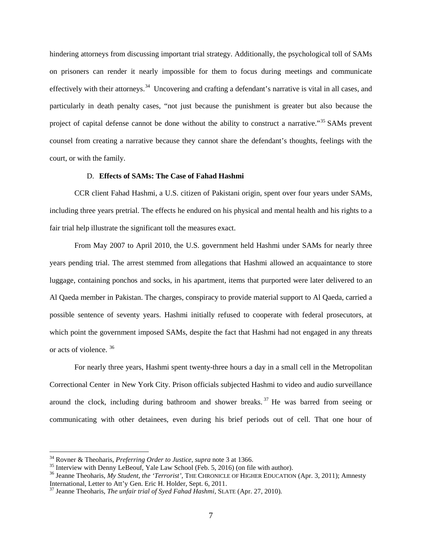hindering attorneys from discussing important trial strategy. Additionally, the psychological toll of SAMs on prisoners can render it nearly impossible for them to focus during meetings and communicate effectively with their attorneys.<sup>34</sup> Uncovering and crafting a defendant's narrative is vital in all cases, and particularly in death penalty cases, "not just because the punishment is greater but also because the project of capital defense cannot be done without the ability to construct a narrative."<sup>[35](#page-7-1)</sup> SAMs prevent counsel from creating a narrative because they cannot share the defendant's thoughts, feelings with the court, or with the family.

# D. **Effects of SAMs: The Case of Fahad Hashmi**

CCR client Fahad Hashmi, a U.S. citizen of Pakistani origin, spent over four years under SAMs, including three years pretrial. The effects he endured on his physical and mental health and his rights to a fair trial help illustrate the significant toll the measures exact.

From May 2007 to April 2010, the U.S. government held Hashmi under SAMs for nearly three years pending trial. The arrest stemmed from allegations that Hashmi allowed an acquaintance to store luggage, containing ponchos and socks, in his apartment, items that purported were later delivered to an Al Qaeda member in Pakistan. The charges, conspiracy to provide material support to Al Qaeda, carried a possible sentence of seventy years. Hashmi initially refused to cooperate with federal prosecutors, at which point the government imposed SAMs, despite the fact that Hashmi had not engaged in any threats or acts of violence. [36](#page-7-2)

For nearly three years, Hashmi spent twenty-three hours a day in a small cell in the Metropolitan Correctional Center in New York City. Prison officials subjected Hashmi to video and audio surveillance around the clock, including during bathroom and shower breaks.<sup>[37](#page-7-3)</sup> He was barred from seeing or communicating with other detainees, even during his brief periods out of cell. That one hour of

<span id="page-7-0"></span> $34$  Rovner & Theoharis, *Preferring Order to Justice*, *supra* note 3 at 1366.

<span id="page-7-2"></span>

<span id="page-7-1"></span><sup>&</sup>lt;sup>35</sup> Interview with Denny LeBeouf, Yale Law School (Feb. 5, 2016) (on file with author).<br><sup>36</sup> Jeanne Theoharis, *My Student, the 'Terrorist'*, THE CHRONICLE OF HIGHER EDUCATION (Apr. 3, 2011); Amnesty<br>International, Lette

<span id="page-7-3"></span> $^{37}$  Jeanne Theoharis, *The unfair trial of Syed Fahad Hashmi*, SLATE (Apr. 27, 2010).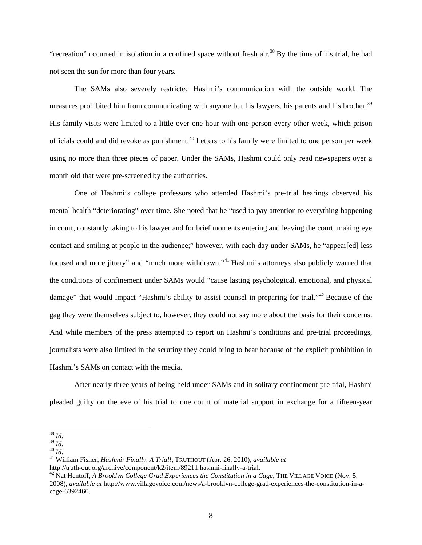"recreation" occurred in isolation in a confined space without fresh air.<sup>[38](#page-8-0)</sup> By the time of his trial, he had not seen the sun for more than four years.

The SAMs also severely restricted Hashmi's communication with the outside world. The measures prohibited him from communicating with anyone but his lawyers, his parents and his brother.<sup>[39](#page-8-1)</sup> His family visits were limited to a little over one hour with one person every other week, which prison officials could and did revoke as punishment.[40](#page-8-2) Letters to his family were limited to one person per week using no more than three pieces of paper. Under the SAMs, Hashmi could only read newspapers over a month old that were pre-screened by the authorities.

One of Hashmi's college professors who attended Hashmi's pre-trial hearings observed his mental health "deteriorating" over time. She noted that he "used to pay attention to everything happening in court, constantly taking to his lawyer and for brief moments entering and leaving the court, making eye contact and smiling at people in the audience;" however, with each day under SAMs, he "appear[ed] less focused and more jittery" and "much more withdrawn."<sup>[41](#page-8-3)</sup> Hashmi's attorneys also publicly warned that the conditions of confinement under SAMs would "cause lasting psychological, emotional, and physical damage" that would impact "Hashmi's ability to assist counsel in preparing for trial."<sup>[42](#page-8-4)</sup> Because of the gag they were themselves subject to, however, they could not say more about the basis for their concerns. And while members of the press attempted to report on Hashmi's conditions and pre-trial proceedings, journalists were also limited in the scrutiny they could bring to bear because of the explicit prohibition in Hashmi's SAMs on contact with the media.

After nearly three years of being held under SAMs and in solitary confinement pre-trial, Hashmi pleaded guilty on the eve of his trial to one count of material support in exchange for a fifteen-year

<span id="page-8-3"></span>

<span id="page-8-0"></span> $38$  Id.

<span id="page-8-2"></span><span id="page-8-1"></span><sup>&</sup>lt;sup>39</sup> *Id.* 40 *Id.*<br><sup>40</sup> *Id.* 41 William Fisher, *Hashmi: Finally, A Trial!*, TRUTHOUT (Apr. 26, 2010), *available at*<br><sup>41</sup> William Fisher, *Hashmi: Finally, A Trial!*, TRUTHOUT (Apr. 26, 2010), *available at*<br>http://trut

<span id="page-8-4"></span><sup>&</sup>lt;sup>42</sup> Nat Hentoff, *A Brooklyn College Grad Experiences the Constitution in a Cage*, THE VILLAGE VOICE (Nov. 5, 2008), *available at* [http://www.villagevoice.com/news/a-brooklyn-college-grad-experiences-the-constitution-in-a](http://www.villagevoice.com/news/a-brooklyn-college-grad-experiences-the-constitution-in-a-cage-6392460)[cage-6392460.](http://www.villagevoice.com/news/a-brooklyn-college-grad-experiences-the-constitution-in-a-cage-6392460)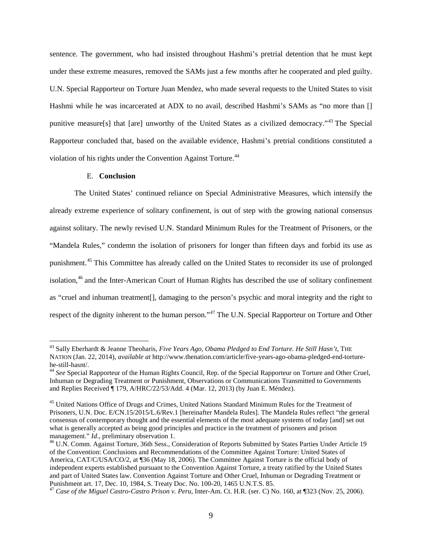sentence. The government, who had insisted throughout Hashmi's pretrial detention that he must kept under these extreme measures, removed the SAMs just a few months after he cooperated and pled guilty. U.N. Special Rapporteur on Torture Juan Mendez, who made several requests to the United States to visit Hashmi while he was incarcerated at ADX to no avail, described Hashmi's SAMs as "no more than [] punitive measure[s] that [are] unworthy of the United States as a civilized democracy."[43](#page-9-0) The Special Rapporteur concluded that, based on the available evidence, Hashmi's pretrial conditions constituted a violation of his rights under the Convention Against Torture.<sup>[44](#page-9-1)</sup>

## E. **Conclusion**

 $\overline{a}$ 

The United States' continued reliance on Special Administrative Measures, which intensify the already extreme experience of solitary confinement, is out of step with the growing national consensus against solitary. The newly revised U.N. Standard Minimum Rules for the Treatment of Prisoners, or the "Mandela Rules," condemn the isolation of prisoners for longer than fifteen days and forbid its use as punishment.[45](#page-9-2) This Committee has already called on the United States to reconsider its use of prolonged isolation,<sup>[46](#page-9-3)</sup> and the Inter-American Court of Human Rights has described the use of solitary confinement as "cruel and inhuman treatment[], damaging to the person's psychic and moral integrity and the right to respect of the dignity inherent to the human person."<sup>[47](#page-9-4)</sup> The U.N. Special Rapporteur on Torture and Other

<span id="page-9-0"></span><sup>43</sup> Sally Eberhardt & Jeanne Theoharis, *Five Years Ago, Obama Pledged to End Torture. He Still Hasn't*, THE NATION (Jan. 22, 2014), *available at* [http://www.thenation.com/article/five-years-ago-obama-pledged-end-torture-](http://www.thenation.com/article/five-years-ago-obama-pledged-end-torture-he-still-hasnt/)

<span id="page-9-1"></span><sup>&</sup>lt;sup>[44](http://www.thenation.com/article/five-years-ago-obama-pledged-end-torture-he-still-hasnt/)</sup> See Special Rapporteur of the Human Rights Council, Rep. of the Special Rapporteur on Torture and Other Cruel, Inhuman or Degrading Treatment or Punishment, Observations or Communications Transmitted to Governments and Replies Received ¶ 179, A/HRC/22/53/Add. 4 (Mar. 12, 2013) (by Juan E. Méndez).

<span id="page-9-2"></span><sup>&</sup>lt;sup>45</sup> United Nations Office of Drugs and Crimes, United Nations Standard Minimum Rules for the Treatment of Prisoners, U.N. Doc. E/CN.15/2015/L.6/Rev.1 [hereinafter Mandela Rules]. The Mandela Rules reflect "the general consensus of contemporary thought and the essential elements of the most adequate systems of today [and] set out what is generally accepted as being good principles and practice in the treatment of prisoners and prison management."  $Id$ , preliminary observation 1.

<span id="page-9-3"></span><sup>&</sup>lt;sup>46</sup> U.N. Comm. Against Torture, 36th Sess., Consideration of Reports Submitted by States Parties Under Article 19 of the Convention: Conclusions and Recommendations of the Committee Against Torture: United States of America, CAT/C/USA/CO/2, at ¶36 (May 18, 2006). The Committee Against Torture is the official body of independent experts established pursuant to the Convention Against Torture, a treaty ratified by the United States and part of United States law. Convention Against Torture and Other Cruel, Inhuman or Degrading Treatment or Punishment art. 17, Dec. 10, 1984, S. Treaty Doc. No. 100-20, 1465 U.N.T.S. 85.

<span id="page-9-4"></span><sup>&</sup>lt;sup>47</sup> Case of the Miguel Castro-Castro Prison v. Peru, Inter-Am. Ct. H.R. (ser. C) No. 160, at ¶323 (Nov. 25, 2006).